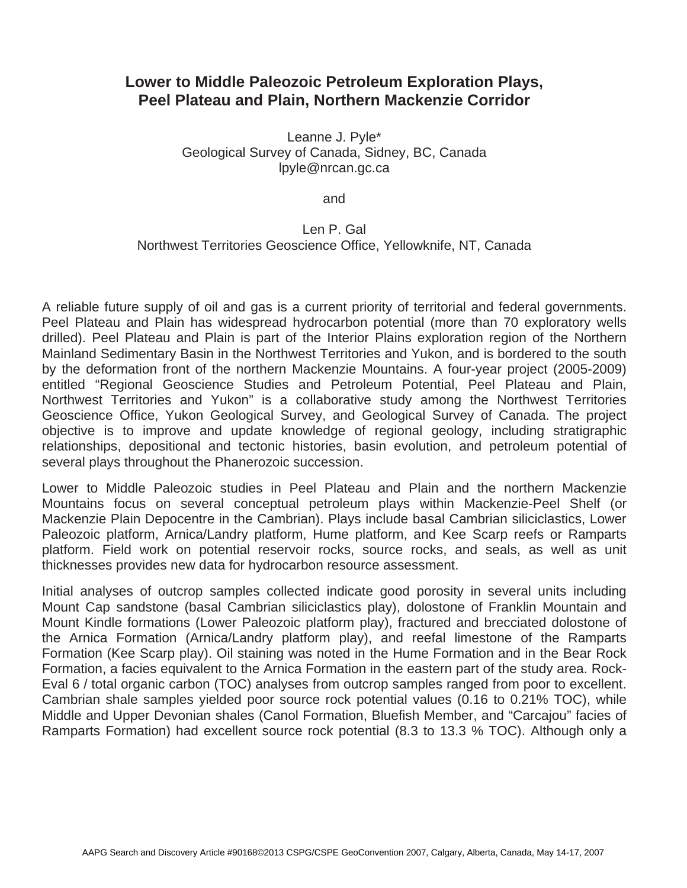## **Lower to Middle Paleozoic Petroleum Exploration Plays, Peel Plateau and Plain, Northern Mackenzie Corridor**

Leanne J. Pyle\* Geological Survey of Canada, Sidney, BC, Canada lpyle@nrcan.gc.ca

and

## Len P. Gal Northwest Territories Geoscience Office, Yellowknife, NT, Canada

A reliable future supply of oil and gas is a current priority of territorial and federal governments. Peel Plateau and Plain has widespread hydrocarbon potential (more than 70 exploratory wells drilled). Peel Plateau and Plain is part of the Interior Plains exploration region of the Northern Mainland Sedimentary Basin in the Northwest Territories and Yukon, and is bordered to the south by the deformation front of the northern Mackenzie Mountains. A four-year project (2005-2009) entitled "Regional Geoscience Studies and Petroleum Potential, Peel Plateau and Plain, Northwest Territories and Yukon" is a collaborative study among the Northwest Territories Geoscience Office, Yukon Geological Survey, and Geological Survey of Canada. The project objective is to improve and update knowledge of regional geology, including stratigraphic relationships, depositional and tectonic histories, basin evolution, and petroleum potential of several plays throughout the Phanerozoic succession.

Lower to Middle Paleozoic studies in Peel Plateau and Plain and the northern Mackenzie Mountains focus on several conceptual petroleum plays within Mackenzie-Peel Shelf (or Mackenzie Plain Depocentre in the Cambrian). Plays include basal Cambrian siliciclastics, Lower Paleozoic platform, Arnica/Landry platform, Hume platform, and Kee Scarp reefs or Ramparts platform. Field work on potential reservoir rocks, source rocks, and seals, as well as unit thicknesses provides new data for hydrocarbon resource assessment.

Initial analyses of outcrop samples collected indicate good porosity in several units including Mount Cap sandstone (basal Cambrian siliciclastics play), dolostone of Franklin Mountain and Mount Kindle formations (Lower Paleozoic platform play), fractured and brecciated dolostone of the Arnica Formation (Arnica/Landry platform play), and reefal limestone of the Ramparts Formation (Kee Scarp play). Oil staining was noted in the Hume Formation and in the Bear Rock Formation, a facies equivalent to the Arnica Formation in the eastern part of the study area. Rock-Eval 6 / total organic carbon (TOC) analyses from outcrop samples ranged from poor to excellent. Cambrian shale samples yielded poor source rock potential values (0.16 to 0.21% TOC), while Middle and Upper Devonian shales (Canol Formation, Bluefish Member, and "Carcajou" facies of Ramparts Formation) had excellent source rock potential (8.3 to 13.3 % TOC). Although only a